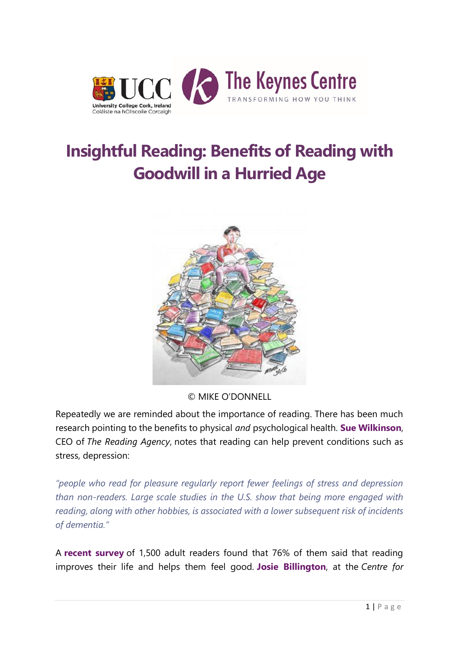

## **[Insightful Reading: Benefits of Reading with](http://keynes.ucc.ie/blog/benefits-close-reading/)  [Goodwill in a Hurried Age](http://keynes.ucc.ie/blog/benefits-close-reading/)**



© MIKE O'DONNELL

Repeatedly we are reminded about the importance of reading. There has been much research pointing to the benefits to physical *and* psychological health. **[Sue Wilkinson](https://www.fastcompany.com/3048913/how-to-be-a-success-at-everything/how-changing-your-reading-habits-can-transform-your-health)**, CEO of *The Reading Agency*, notes that reading can help prevent conditions such as stress, depression:

*"people who read for pleasure regularly report fewer feelings of stress and depression than non-readers. Large scale studies in the U.S. show that being more engaged with reading, along with other hobbies, is associated with a lower subsequent risk of incidents of dementia."*

A **[recent survey](https://www.booktrust.org.uk/usr/library/documents/main/1576-booktrust-reading-habits-report-final.pdf)** of 1,500 adult readers found that 76% of them said that reading improves their life and helps them feel good. **[Josie Billington](https://www.weforum.org/agenda/20152/can-reading-improve-your-wellbeing)**, at the *Centre for*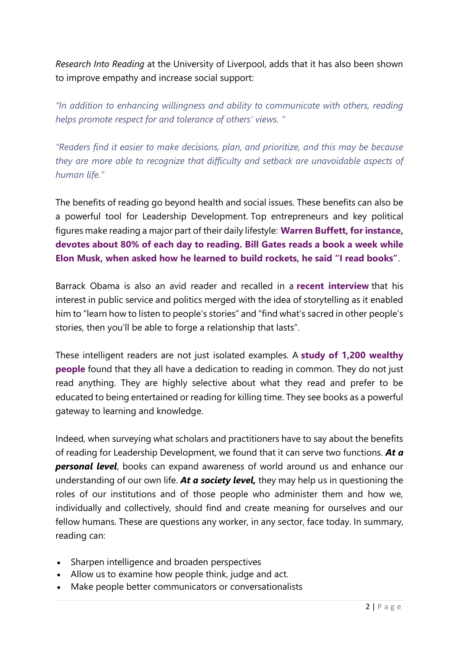*Research Into Reading* at the University of Liverpool, adds that it has also been shown to improve empathy and increase social support:

*"In addition to enhancing willingness and ability to communicate with others, reading helps promote respect for and tolerance of others' views. "*

*"Readers find it easier to make decisions, plan, and prioritize, and this may be because they are more able to recognize that difficulty and setback are unavoidable aspects of human life."*

The benefits of reading go beyond health and social issues. These benefits can also be a powerful tool for Leadership Development. Top entrepreneurs and key political figures make reading a major part of their daily lifestyle: **[Warren Buffett, for instance,](https://qz.com/668514/if-you-want-to-be-like-warren-buffett-and-bill-gates-adopt-their-voracious-reading-habits/)  [devotes about 80% of each day to reading. Bill Gates reads a book a week while](https://qz.com/668514/if-you-want-to-be-like-warren-buffett-and-bill-gates-adopt-their-voracious-reading-habits/)  [Elon Musk, when asked how he learned to build rockets, he said "I read books"](https://qz.com/668514/if-you-want-to-be-like-warren-buffett-and-bill-gates-adopt-their-voracious-reading-habits/)**.

Barrack Obama is also an avid reader and recalled in a **[recent interview](https://www.nytimes.com/2017/01/16/books/transcript-president-obama-on-what-books-mean-to-him.html)** that his interest in public service and politics merged with the idea of storytelling as it enabled him to "learn how to listen to people's stories" and "find what's sacred in other people's stories, then you'll be able to forge a relationship that lasts".

These intelligent readers are not just isolated examples. A **[study of 1,200 wealthy](http://uk.businessinsider.com/rich-people-like-to-read-2015-8?r=US&IR=T)  [people](http://uk.businessinsider.com/rich-people-like-to-read-2015-8?r=US&IR=T)** found that they all have a dedication to reading in common. They do not just read anything. They are highly selective about what they read and prefer to be educated to being entertained or reading for killing time. They see books as a powerful gateway to learning and knowledge.

Indeed, when surveying what scholars and practitioners have to say about the benefits of reading for Leadership Development, we found that it can serve two functions. *At a personal level*, books can expand awareness of world around us and enhance our understanding of our own life. *At a society level,* they may help us in questioning the roles of our institutions and of those people who administer them and how we, individually and collectively, should find and create meaning for ourselves and our fellow humans. These are questions any worker, in any sector, face today. In summary, reading can:

- Sharpen intelligence and broaden perspectives
- Allow us to examine how people think, judge and act.
- Make people better communicators or conversationalists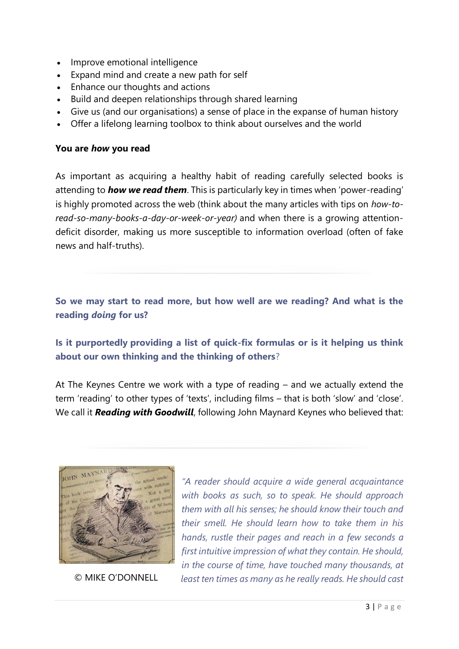- Improve emotional intelligence
- Expand mind and create a new path for self
- Enhance our thoughts and actions
- Build and deepen relationships through shared learning
- Give us (and our organisations) a sense of place in the expanse of human history
- Offer a lifelong learning toolbox to think about ourselves and the world

## **You are** *how* **you read**

As important as acquiring a healthy habit of reading carefully selected books is attending to *how we read them*. This is particularly key in times when 'power-reading' is highly promoted across the web (think about the many articles with tips on *how-toread-so-many-books-a-day-or-week-or-year)* and when there is a growing attentiondeficit disorder, making us more susceptible to information overload (often of fake news and half-truths).

**So we may start to read more, but how well are we reading? And what is the reading** *doing* **for us?**

**Is it purportedly providing a list of quick-fix formulas or is it helping us think about our own thinking and the thinking of others**?

At The Keynes Centre we work with a type of reading – and we actually extend the term 'reading' to other types of 'texts', including films – that is both 'slow' and 'close'. We call it *Reading with Goodwill*, following John Maynard Keynes who believed that:



*"A reader should acquire a wide general acquaintance with books as such, so to speak. He should approach them with all his senses; he should know their touch and their smell. He should learn how to take them in his hands, rustle their pages and reach in a few seconds a first intuitive impression of what they contain. He should, in the course of time, have touched many thousands, at*  © MIKE O'DONNELL *least ten times as many as he really reads. He should cast*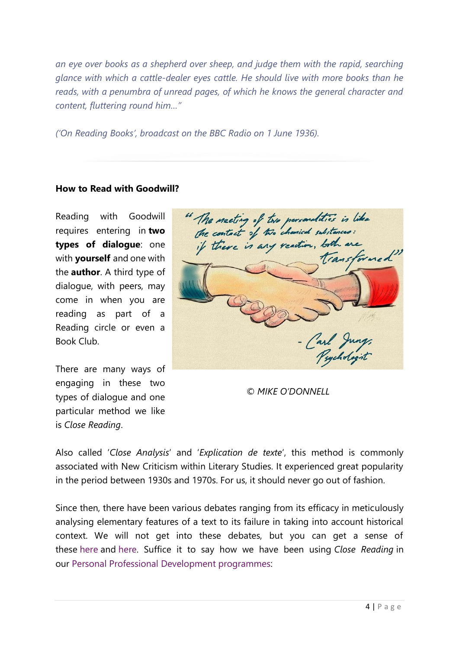*an eye over books as a shepherd over sheep, and judge them with the rapid, searching glance with which a cattle-dealer eyes cattle. He should live with more books than he reads, with a penumbra of unread pages, of which he knows the general character and content, fluttering round him…"*

*('On Reading Books', broadcast on the BBC Radio on 1 June 1936).*

## **How to Read with Goodwill?**

Reading with Goodwill requires entering in **two types of dialogue**: one with **yourself** and one with the **author**. A third type of dialogue, with peers, may come in when you are reading as part of a Reading circle or even a Book Club.

There are many ways of engaging in these two types of dialogue and one particular method we like is *Close Reading*.

" The meeting of two personalities is like transformed" Carl Jung

*© MIKE O'DONNELL*

Also called '*Close Analysis*' and '*Explication de texte*', this method is commonly associated with New Criticism within Literary Studies. It experienced great popularity in the period between 1930s and 1970s. For us, it should never go out of fashion.

Since then, there have been various debates ranging from its efficacy in meticulously analysing elementary features of a text to its failure in taking into account historical context. We will not get into these debates, but you can get a sense of these [here](https://lareviewofbooks.org/article/discipline-and-parse-the-politics-of-close-reading/) and [here.](https://www.thoughtco.com/what-is-close-reading-1689758) Suffice it to say how we have been using *Close Reading* in our Personal Professional [Development programmes:](http://keynes.ucc.ie/current-programmes/)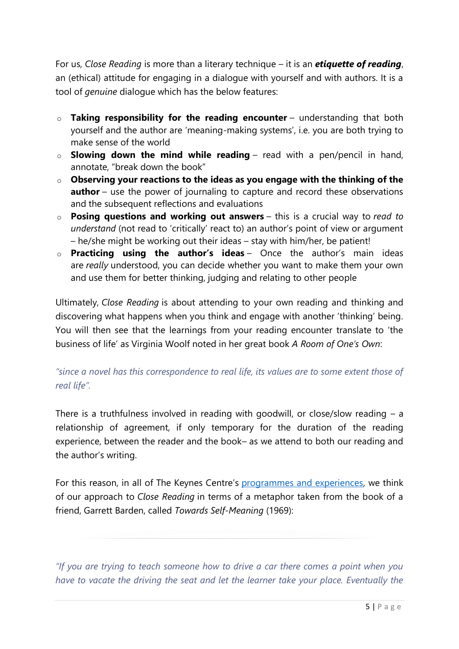For us, *Close Reading* is more than a literary technique – it is an *etiquette of reading*, an (ethical) attitude for engaging in a dialogue with yourself and with authors. It is a tool of *genuine* dialogue which has the below features:

- o **Taking responsibility for the reading encounter** understanding that both yourself and the author are 'meaning-making systems', i.e. you are both trying to make sense of the world
- o **Slowing down the mind while reading** read with a pen/pencil in hand, annotate, "break down the book"
- o **Observing your reactions to the ideas as you engage with the thinking of the author** – use the power of journaling to capture and record these observations and the subsequent reflections and evaluations
- o **Posing questions and working out answers** this is a crucial way to *read to understand* (not read to 'critically' react to) an author's point of view or argument – he/she might be working out their ideas – stay with him/her, be patient!
- o **Practicing using the author's ideas** Once the author's main ideas are *really* understood, you can decide whether you want to make them your own and use them for better thinking, judging and relating to other people

Ultimately, *Close Reading* is about attending to your own reading and thinking and discovering what happens when you think and engage with another 'thinking' being. You will then see that the learnings from your reading encounter translate to 'the business of life' as Virginia Woolf noted in her great book *A Room of One's Own*:

## *"since a novel has this correspondence to real life, its values are to some extent those of real life".*

There is a truthfulness involved in reading with goodwill, or close/slow reading  $-$  a relationship of agreement, if only temporary for the duration of the reading experience, between the reader and the book– as we attend to both our reading and the author's writing.

For this reason, in all of The Keynes Centre's programmes [and experiences,](http://keynes.ucc.ie/current-programmes/) we think of our approach to *Close Reading* in terms of a metaphor taken from the book of a friend, Garrett Barden, called *Towards Self-Meaning* (1969):

*"If you are trying to teach someone how to drive a car there comes a point when you have to vacate the driving the seat and let the learner take your place. Eventually the*